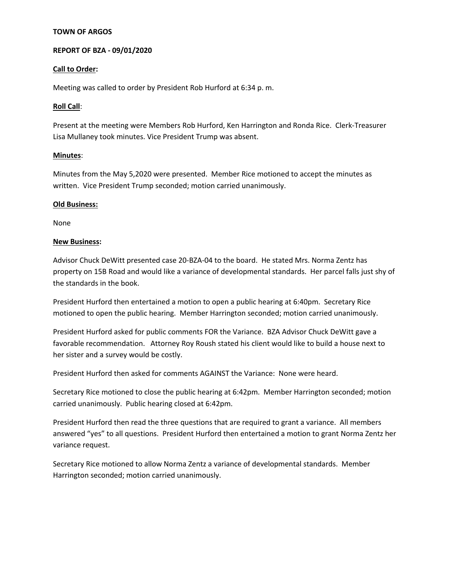## **TOWN OF ARGOS**

## **REPORT OF BZA - 09/01/2020**

#### **Call to Order:**

Meeting was called to order by President Rob Hurford at 6:34 p. m.

#### **Roll Call**:

Present at the meeting were Members Rob Hurford, Ken Harrington and Ronda Rice. Clerk-Treasurer Lisa Mullaney took minutes. Vice President Trump was absent.

#### **Minutes**:

Minutes from the May 5,2020 were presented. Member Rice motioned to accept the minutes as written. Vice President Trump seconded; motion carried unanimously.

#### **Old Business:**

None

#### **New Business:**

Advisor Chuck DeWitt presented case 20-BZA-04 to the board. He stated Mrs. Norma Zentz has property on 15B Road and would like a variance of developmental standards. Her parcel falls just shy of the standards in the book.

President Hurford then entertained a motion to open a public hearing at 6:40pm. Secretary Rice motioned to open the public hearing. Member Harrington seconded; motion carried unanimously.

President Hurford asked for public comments FOR the Variance. BZA Advisor Chuck DeWitt gave a favorable recommendation. Attorney Roy Roush stated his client would like to build a house next to her sister and a survey would be costly.

President Hurford then asked for comments AGAINST the Variance: None were heard.

Secretary Rice motioned to close the public hearing at 6:42pm. Member Harrington seconded; motion carried unanimously. Public hearing closed at 6:42pm.

President Hurford then read the three questions that are required to grant a variance. All members answered "yes" to all questions. President Hurford then entertained a motion to grant Norma Zentz her variance request.

Secretary Rice motioned to allow Norma Zentz a variance of developmental standards. Member Harrington seconded; motion carried unanimously.